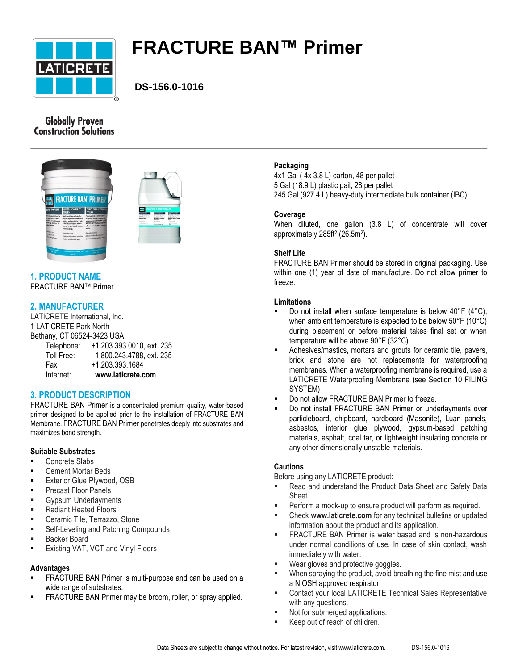

# **FRACTURE BAN™ Primer**

# **DS-156.0-1016**

## **Globally Proven Construction Solutions**





#### **1. PRODUCT NAME** FRACTURE BAN™ Primer

## **2. MANUFACTURER**

LATICRETE International, Inc. 1 LATICRETE Park North Bethany, CT 06524-3423 USA

| Internet:  | www.laticrete.com         |
|------------|---------------------------|
| Fax:       | +1.203.393.1684           |
| Toll Free: | 1.800.243.4788, ext. 235  |
| Telephone: | +1.203.393.0010, ext. 235 |

## **3. PRODUCT DESCRIPTION**

FRACTURE BAN Primer is a concentrated premium quality, water-based primer designed to be applied prior to the installation of FRACTURE BAN Membrane. FRACTURE BAN Primer penetrates deeply into substrates and maximizes bond strength.

## **Suitable Substrates**

- **Concrete Slabs**
- Cement Mortar Beds
- Exterior Glue Plywood, OSB
- **Precast Floor Panels**
- **Gypsum Underlayments**
- Radiant Heated Floors
- **EXEC** Ceramic Tile, Terrazzo, Stone
- **Self-Leveling and Patching Compounds**
- Backer Board
- Existing VAT, VCT and Vinyl Floors

#### **Advantages**

- FRACTURE BAN Primer is multi-purpose and can be used on a wide range of substrates.
- FRACTURE BAN Primer may be broom, roller, or spray applied.

## **Packaging**

4x1 Gal ( 4x 3.8 L) carton, 48 per pallet 5 Gal (18.9 L) plastic pail, 28 per pallet 245 Gal (927.4 L) heavy-duty intermediate bulk container (IBC)

#### **Coverage**

When diluted, one gallon (3.8 L) of concentrate will cover approximately 285ft<sup>2</sup> (26.5m<sup>2</sup> ).

#### **Shelf Life**

FRACTURE BAN Primer should be stored in original packaging. Use within one (1) year of date of manufacture. Do not allow primer to freeze.

#### **Limitations**

- Do not install when surface temperature is below 40°F (4°C), when ambient temperature is expected to be below 50°F (10°C) during placement or before material takes final set or when temperature will be above 90°F (32°C).
- Adhesives/mastics, mortars and grouts for ceramic tile, pavers, brick and stone are not replacements for waterproofing membranes. When a waterproofing membrane is required, use a LATICRETE Waterproofing Membrane (see Section 10 FILING SYSTEM)
- Do not allow FRACTURE BAN Primer to freeze.
- Do not install FRACTURE BAN Primer or underlayments over particleboard, chipboard, hardboard (Masonite), Luan panels, asbestos, interior glue plywood, gypsum-based patching materials, asphalt, coal tar, or lightweight insulating concrete or any other dimensionally unstable materials.

#### **Cautions**

Before using any LATICRETE product:

- Read and understand the Product Data Sheet and Safety Data Sheet.
- Perform a mock-up to ensure product will perform as required.
- Check **www.laticrete.com** for any technical bulletins or updated information about the product and its application.
- FRACTURE BAN Primer is water based and is non-hazardous under normal conditions of use. In case of skin contact, wash immediately with water.
- Wear gloves and protective goggles.
- When spraying the product, avoid breathing the fine mist and use a NIOSH approved respirator.
- Contact your local LATICRETE Technical Sales Representative with any questions.
- Not for submerged applications.
- Keep out of reach of children.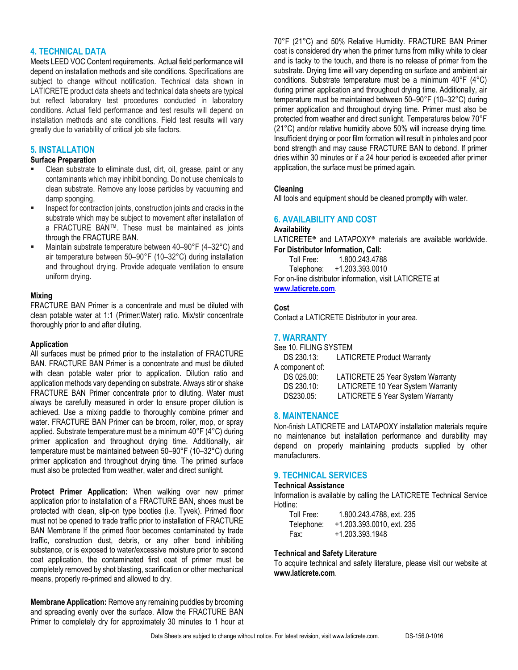#### **4. TECHNICAL DATA**

Meets LEED VOC Content requirements. Actual field performance will depend on installation methods and site conditions. Specifications are subject to change without notification. Technical data shown in LATICRETE product data sheets and technical data sheets are typical but reflect laboratory test procedures conducted in laboratory conditions. Actual field performance and test results will depend on installation methods and site conditions. Field test results will vary greatly due to variability of critical job site factors.

#### **5. INSTALLATION**

#### **Surface Preparation**

- Clean substrate to eliminate dust, dirt, oil, grease, paint or any contaminants which may inhibit bonding. Do not use chemicals to clean substrate. Remove any loose particles by vacuuming and damp sponging.
- Inspect for contraction joints, construction joints and cracks in the substrate which may be subject to movement after installation of a FRACTURE BAN™. These must be maintained as joints through the FRACTURE BAN.
- Maintain substrate temperature between 40–90°F (4–32°C) and air temperature between 50–90°F (10–32°C) during installation and throughout drying. Provide adequate ventilation to ensure uniform drying.

#### **Mixing**

FRACTURE BAN Primer is a concentrate and must be diluted with clean potable water at 1:1 (Primer:Water) ratio. Mix/stir concentrate thoroughly prior to and after diluting.

#### **Application**

All surfaces must be primed prior to the installation of FRACTURE BAN. FRACTURE BAN Primer is a concentrate and must be diluted with clean potable water prior to application. Dilution ratio and application methods vary depending on substrate. Always stir or shake FRACTURE BAN Primer concentrate prior to diluting. Water must always be carefully measured in order to ensure proper dilution is achieved. Use a mixing paddle to thoroughly combine primer and water. FRACTURE BAN Primer can be broom, roller, mop, or spray applied. Substrate temperature must be a minimum 40°F (4°C) during primer application and throughout drying time. Additionally, air temperature must be maintained between 50–90°F (10–32°C) during primer application and throughout drying time. The primed surface must also be protected from weather, water and direct sunlight.

**Protect Primer Application:** When walking over new primer application prior to installation of a FRACTURE BAN, shoes must be protected with clean, slip-on type booties (i.e. Tyvek). Primed floor must not be opened to trade traffic prior to installation of FRACTURE BAN Membrane If the primed floor becomes contaminated by trade traffic, construction dust, debris, or any other bond inhibiting substance, or is exposed to water/excessive moisture prior to second coat application, the contaminated first coat of primer must be completely removed by shot blasting, scarification or other mechanical means, properly re-primed and allowed to dry.

**Membrane Application:** Remove any remaining puddles by brooming and spreading evenly over the surface. Allow the FRACTURE BAN Primer to completely dry for approximately 30 minutes to 1 hour at 70°F (21°C) and 50% Relative Humidity. FRACTURE BAN Primer coat is considered dry when the primer turns from milky white to clear and is tacky to the touch, and there is no release of primer from the substrate. Drying time will vary depending on surface and ambient air conditions. Substrate temperature must be a minimum 40°F (4°C) during primer application and throughout drying time. Additionally, air temperature must be maintained between 50–90°F (10–32°C) during primer application and throughout drying time. Primer must also be protected from weather and direct sunlight. Temperatures below 70°F (21°C) and/or relative humidity above 50% will increase drying time. Insufficient drying or poor film formation will result in pinholes and poor bond strength and may cause FRACTURE BAN to debond. If primer dries within 30 minutes or if a 24 hour period is exceeded after primer application, the surface must be primed again.

#### **Cleaning**

All tools and equipment should be cleaned promptly with water.

#### **6. AVAILABILITY AND COST**

#### **Availability**

LATICRETE® and LATAPOXY® materials are available worldwide. **For Distributor Information, Call:** 

Toll Free: 1.800.243.4788 Telephone: +1.203.393.0010 For on-line distributor information, visit LATICRETE at

## **[www.laticrete.com](http://www.laticrete.com/)**.

#### **Cost**

Contact a LATICRETE Distributor in your area.

#### **7. WARRANTY**

See 10. FILING SYSTEM DS 230.13: LATICRETE Product Warranty

A component of:

| . . <b>. . . . .</b> |                                         |
|----------------------|-----------------------------------------|
| DS 025.00:           | LATICRETE 25 Year System Warranty       |
| DS 230.10:           | LATICRETE 10 Year System Warranty       |
| DS230.05:            | <b>LATICRETE 5 Year System Warranty</b> |

#### **8. MAINTENANCE**

Non-finish LATICRETE and LATAPOXY installation materials require no maintenance but installation performance and durability may depend on properly maintaining products supplied by other manufacturers.

## **9. TECHNICAL SERVICES**

#### **Technical Assistance**

Information is available by calling the LATICRETE Technical Service Hotline:

| Toll Free: | 1.800.243.4788, ext. 235  |
|------------|---------------------------|
| Telephone: | +1.203.393.0010. ext. 235 |
| Fax:       | +1.203.393.1948           |

#### **Technical and Safety Literature**

To acquire technical and safety literature, please visit our website at **www.laticrete.com**.